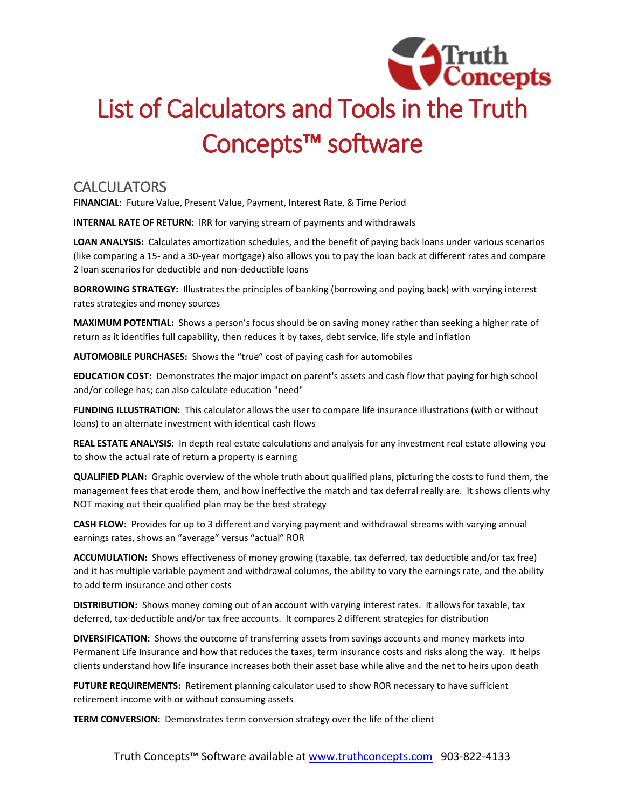

## List of Calculators and Tools in the Truth Concepts™ software

## **CALCULATORS**

**FINANCIAL**: Future Value, Present Value, Payment, Interest Rate, & Time Period

**INTERNAL RATE OF RETURN:** IRR for varying stream of payments and withdrawals

**LOAN ANALYSIS:** Calculates amortization schedules, and the benefit of paying back loans under various scenarios (like comparing a 15- and a 30-year mortgage) also allows you to pay the loan back at different rates and compare 2 loan scenarios for deductible and non-deductible loans

**BORROWING STRATEGY:** Illustrates the principles of banking (borrowing and paying back) with varying interest rates strategies and money sources

**MAXIMUM POTENTIAL:** Shows a person's focus should be on saving money rather than seeking a higher rate of return as it identifies full capability, then reduces it by taxes, debt service, life style and inflation

**AUTOMOBILE PURCHASES:** Shows the "true" cost of paying cash for automobiles

**EDUCATION COST:** Demonstrates the major impact on parent's assets and cash flow that paying for high school and/or college has; can also calculate education "need"

**FUNDING ILLUSTRATION:** This calculator allows the user to compare life insurance illustrations (with or without loans) to an alternate investment with identical cash flows

**REAL ESTATE ANALYSIS:** In depth real estate calculations and analysis for any investment real estate allowing you to show the actual rate of return a property is earning

**QUALIFIED PLAN:** Graphic overview of the whole truth about qualified plans, picturing the costs to fund them, the management fees that erode them, and how ineffective the match and tax deferral really are. It shows clients why NOT maxing out their qualified plan may be the best strategy

**CASH FLOW:** Provides for up to 3 different and varying payment and withdrawal streams with varying annual earnings rates, shows an "average" versus "actual" ROR

**ACCUMULATION:** Shows effectiveness of money growing (taxable, tax deferred, tax deductible and/or tax free) and it has multiple variable payment and withdrawal columns, the ability to vary the earnings rate, and the ability to add term insurance and other costs

**DISTRIBUTION:** Shows money coming out of an account with varying interest rates. It allows for taxable, tax deferred, tax-deductible and/or tax free accounts. It compares 2 different strategies for distribution

**DIVERSIFICATION:** Shows the outcome of transferring assets from savings accounts and money markets into Permanent Life Insurance and how that reduces the taxes, term insurance costs and risks along the way. It helps clients understand how life insurance increases both their asset base while alive and the net to heirs upon death

**FUTURE REQUIREMENTS:** Retirement planning calculator used to show ROR necessary to have sufficient retirement income with or without consuming assets

**TERM CONVERSION:** Demonstrates term conversion strategy over the life of the client